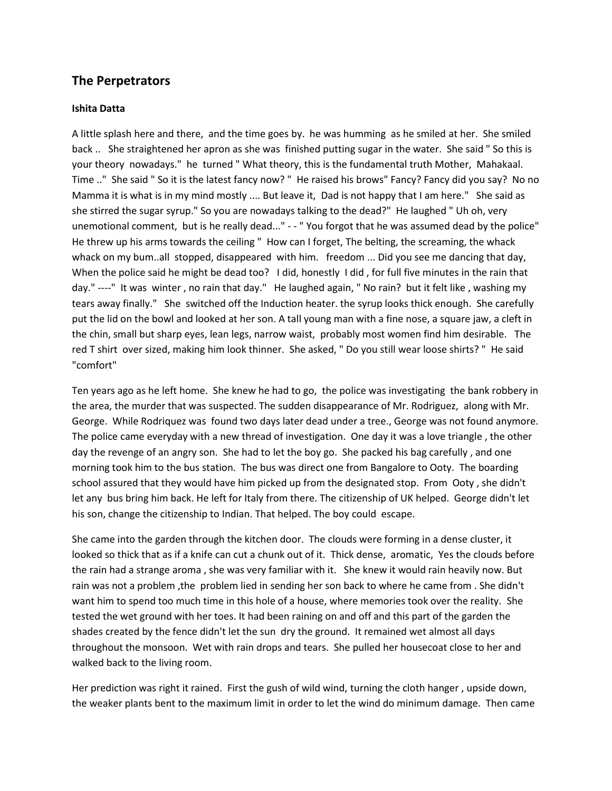## **The Perpetrators**

## **Ishita Datta**

A little splash here and there, and the time goes by. he was humming as he smiled at her. She smiled back .. She straightened her apron as she was finished putting sugar in the water. She said " So this is your theory nowadays." he turned " What theory, this is the fundamental truth Mother, Mahakaal. Time .." She said " So it is the latest fancy now? " He raised his brows" Fancy? Fancy did you say? No no Mamma it is what is in my mind mostly .... But leave it, Dad is not happy that I am here." She said as she stirred the sugar syrup." So you are nowadays talking to the dead?" He laughed " Uh oh, very unemotional comment, but is he really dead..." - - " You forgot that he was assumed dead by the police" He threw up his arms towards the ceiling " How can I forget, The belting, the screaming, the whack whack on my bum..all stopped, disappeared with him. freedom ... Did you see me dancing that day, When the police said he might be dead too? I did, honestly I did, for full five minutes in the rain that day." ----" It was winter , no rain that day." He laughed again, " No rain? but it felt like , washing my tears away finally." She switched off the Induction heater. the syrup looks thick enough. She carefully put the lid on the bowl and looked at her son. A tall young man with a fine nose, a square jaw, a cleft in the chin, small but sharp eyes, lean legs, narrow waist, probably most women find him desirable. The red T shirt over sized, making him look thinner. She asked, " Do you still wear loose shirts? " He said "comfort"

Ten years ago as he left home. She knew he had to go, the police was investigating the bank robbery in the area, the murder that was suspected. The sudden disappearance of Mr. Rodriguez, along with Mr. George. While Rodriquez was found two days later dead under a tree., George was not found anymore. The police came everyday with a new thread of investigation. One day it was a love triangle , the other day the revenge of an angry son. She had to let the boy go. She packed his bag carefully , and one morning took him to the bus station. The bus was direct one from Bangalore to Ooty. The boarding school assured that they would have him picked up from the designated stop. From Ooty , she didn't let any bus bring him back. He left for Italy from there. The citizenship of UK helped. George didn't let his son, change the citizenship to Indian. That helped. The boy could escape.

She came into the garden through the kitchen door. The clouds were forming in a dense cluster, it looked so thick that as if a knife can cut a chunk out of it. Thick dense, aromatic, Yes the clouds before the rain had a strange aroma , she was very familiar with it. She knew it would rain heavily now. But rain was not a problem ,the problem lied in sending her son back to where he came from . She didn't want him to spend too much time in this hole of a house, where memories took over the reality. She tested the wet ground with her toes. It had been raining on and off and this part of the garden the shades created by the fence didn't let the sun dry the ground. It remained wet almost all days throughout the monsoon. Wet with rain drops and tears. She pulled her housecoat close to her and walked back to the living room.

Her prediction was right it rained. First the gush of wild wind, turning the cloth hanger , upside down, the weaker plants bent to the maximum limit in order to let the wind do minimum damage. Then came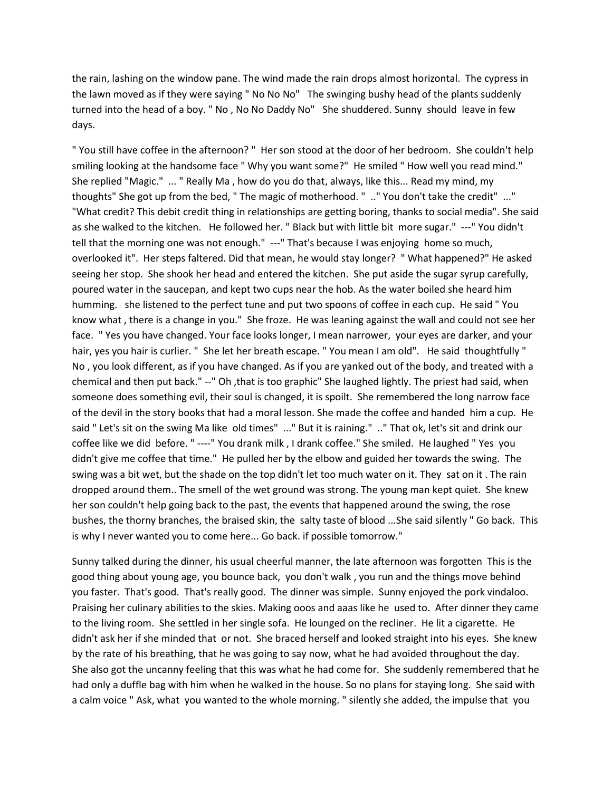the rain, lashing on the window pane. The wind made the rain drops almost horizontal. The cypress in the lawn moved as if they were saying " No No No" The swinging bushy head of the plants suddenly turned into the head of a boy. " No , No No Daddy No" She shuddered. Sunny should leave in few days.

" You still have coffee in the afternoon? " Her son stood at the door of her bedroom. She couldn't help smiling looking at the handsome face " Why you want some?" He smiled " How well you read mind." She replied "Magic." ... " Really Ma , how do you do that, always, like this... Read my mind, my thoughts" She got up from the bed, " The magic of motherhood. " .." You don't take the credit" ..." "What credit? This debit credit thing in relationships are getting boring, thanks to social media". She said as she walked to the kitchen. He followed her. " Black but with little bit more sugar." ---" You didn't tell that the morning one was not enough." ---" That's because I was enjoying home so much, overlooked it". Her steps faltered. Did that mean, he would stay longer? " What happened?" He asked seeing her stop. She shook her head and entered the kitchen. She put aside the sugar syrup carefully, poured water in the saucepan, and kept two cups near the hob. As the water boiled she heard him humming. she listened to the perfect tune and put two spoons of coffee in each cup. He said " You know what , there is a change in you." She froze. He was leaning against the wall and could not see her face. " Yes you have changed. Your face looks longer, I mean narrower, your eyes are darker, and your hair, yes you hair is curlier. " She let her breath escape. " You mean I am old". He said thoughtfully " No , you look different, as if you have changed. As if you are yanked out of the body, and treated with a chemical and then put back." --" Oh ,that is too graphic" She laughed lightly. The priest had said, when someone does something evil, their soul is changed, it is spoilt. She remembered the long narrow face of the devil in the story books that had a moral lesson. She made the coffee and handed him a cup. He said " Let's sit on the swing Ma like old times" ..." But it is raining." .." That ok, let's sit and drink our coffee like we did before. " ----" You drank milk , I drank coffee." She smiled. He laughed " Yes you didn't give me coffee that time." He pulled her by the elbow and guided her towards the swing. The swing was a bit wet, but the shade on the top didn't let too much water on it. They sat on it . The rain dropped around them.. The smell of the wet ground was strong. The young man kept quiet. She knew her son couldn't help going back to the past, the events that happened around the swing, the rose bushes, the thorny branches, the braised skin, the salty taste of blood ...She said silently " Go back. This is why I never wanted you to come here... Go back. if possible tomorrow."

Sunny talked during the dinner, his usual cheerful manner, the late afternoon was forgotten This is the good thing about young age, you bounce back, you don't walk , you run and the things move behind you faster. That's good. That's really good. The dinner was simple. Sunny enjoyed the pork vindaloo. Praising her culinary abilities to the skies. Making ooos and aaas like he used to. After dinner they came to the living room. She settled in her single sofa. He lounged on the recliner. He lit a cigarette. He didn't ask her if she minded that or not. She braced herself and looked straight into his eyes. She knew by the rate of his breathing, that he was going to say now, what he had avoided throughout the day. She also got the uncanny feeling that this was what he had come for. She suddenly remembered that he had only a duffle bag with him when he walked in the house. So no plans for staying long. She said with a calm voice " Ask, what you wanted to the whole morning. " silently she added, the impulse that you